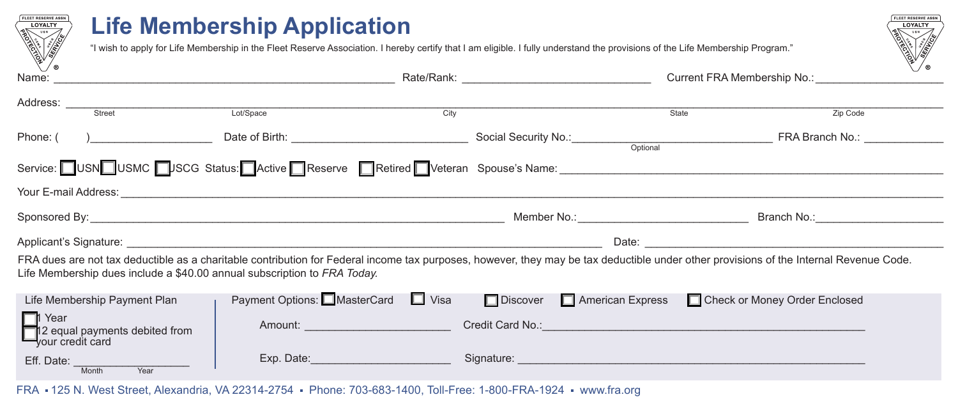

Eff. Date: <u>Month Year</u>

## **Life Membership Application**

"I wish to apply for Life Membership in the Fleet Reserve Association. I hereby certify that I am eligible. I fully understand the provisions of the Life Membership Program."



FRA 125 N. West Street, Alexandria, VA 22314-2754 Phone: 703-683-1400, Toll-Free: 1-800-FRA-1924 www.fra.org